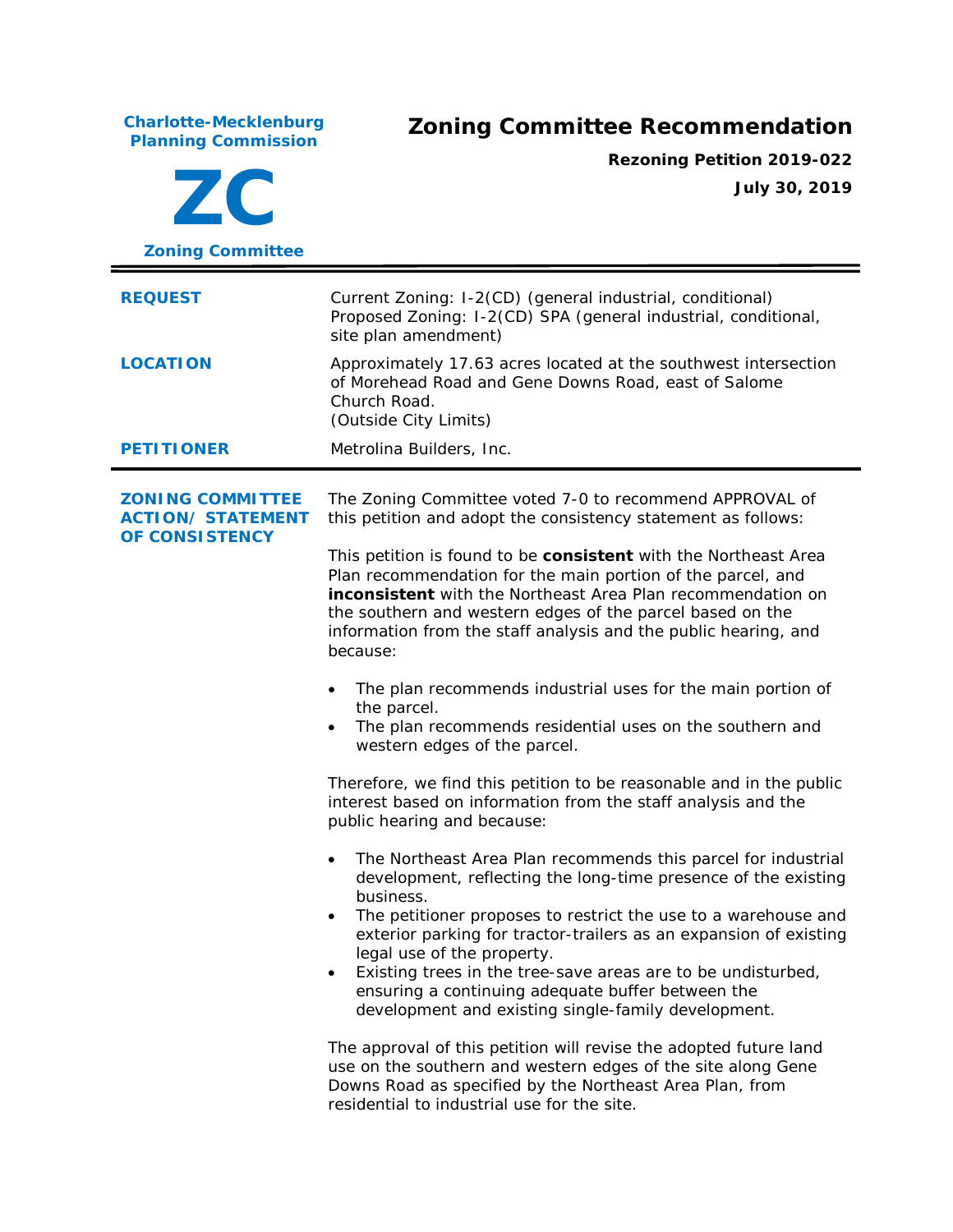**Charlotte-Mecklenburg Planning Commission Zoning Committee Recommendation ZC Zoning Committee Rezoning Petition 2019-022 July 30, 2019 REQUEST** Current Zoning: I-2(CD) (general industrial, conditional) Proposed Zoning: I-2(CD) SPA (general industrial, conditional, site plan amendment) **LOCATION** Approximately 17.63 acres located at the southwest intersection of Morehead Road and Gene Downs Road, east of Salome Church Road. (Outside City Limits) **PETITIONER** Metrolina Builders, Inc. **ZONING COMMITTEE ACTION/ STATEMENT OF CONSISTENCY** The Zoning Committee voted 7-0 to recommend APPROVAL of this petition and adopt the consistency statement as follows: This petition is found to be **consistent** with the *Northeast Area Plan* recommendation for the main portion of the parcel, and **inconsistent** with the *Northeast Area Plan* recommendation on the southern and western edges of the parcel based on the information from the staff analysis and the public hearing, and because: The plan recommends industrial uses for the main portion of the parcel.

> The plan recommends residential uses on the southern and western edges of the parcel.

Therefore, we find this petition to be reasonable and in the public interest based on information from the staff analysis and the public hearing and because:

- The *Northeast Area Plan* recommends this parcel for industrial development, reflecting the long-time presence of the existing business.
- The petitioner proposes to restrict the use to a warehouse and exterior parking for tractor-trailers as an expansion of existing legal use of the property.
- Existing trees in the tree-save areas are to be undisturbed, ensuring a continuing adequate buffer between the development and existing single-family development.

The approval of this petition will revise the adopted future land use on the southern and western edges of the site along Gene Downs Road as specified by the Northeast Area Plan, from residential to industrial use for the site.